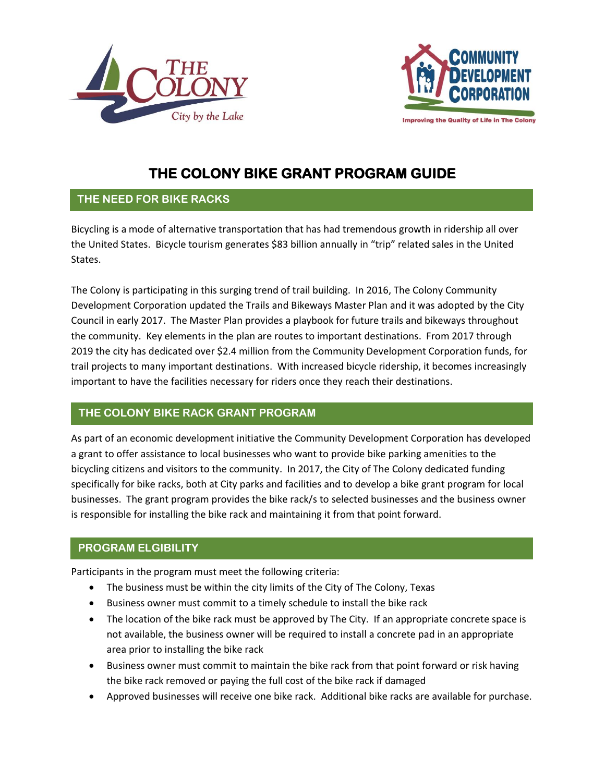



**Improving the Quality of Life in The Colony** 

# **THE COLONY BIKE GRANT PROGRAM GUIDE**

## **THE NEED FOR BIKE RACKS**

Bicycling is a mode of alternative transportation that has had tremendous growth in ridership all over the United States. Bicycle tourism generates \$83 billion annually in "trip" related sales in the United States.

The Colony is participating in this surging trend of trail building. In 2016, The Colony Community Development Corporation updated the Trails and Bikeways Master Plan and it was adopted by the City Council in early 2017. The Master Plan provides a playbook for future trails and bikeways throughout the community. Key elements in the plan are routes to important destinations. From 2017 through 2019 the city has dedicated over \$2.4 million from the Community Development Corporation funds, for trail projects to many important destinations. With increased bicycle ridership, it becomes increasingly important to have the facilities necessary for riders once they reach their destinations.

# **THE COLONY BIKE RACK GRANT PROGRAM**

As part of an economic development initiative the Community Development Corporation has developed a grant to offer assistance to local businesses who want to provide bike parking amenities to the bicycling citizens and visitors to the community. In 2017, the City of The Colony dedicated funding specifically for bike racks, both at City parks and facilities and to develop a bike grant program for local businesses. The grant program provides the bike rack/s to selected businesses and the business owner is responsible for installing the bike rack and maintaining it from that point forward.

# **PROGRAM ELGIBILITY**

Participants in the program must meet the following criteria:

- The business must be within the city limits of the City of The Colony, Texas
- Business owner must commit to a timely schedule to install the bike rack
- The location of the bike rack must be approved by The City. If an appropriate concrete space is not available, the business owner will be required to install a concrete pad in an appropriate area prior to installing the bike rack
- Business owner must commit to maintain the bike rack from that point forward or risk having the bike rack removed or paying the full cost of the bike rack if damaged
- Approved businesses will receive one bike rack. Additional bike racks are available for purchase.